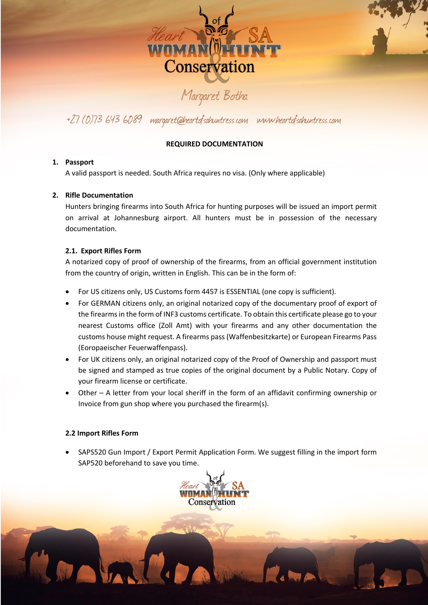

### +27 (0)73 643 6089 margaret@heartofsahuntress.com www.heartofsahuntress.com

#### **REQUIRED DOCUMENTATION**

#### **1. Passport**

A valid passport is needed. South Africa requires no visa. (Only where applicable)

#### **2. Rifle Documentation**

Hunters bringing firearms into South Africa for hunting purposes will be issued an import permit on arrival at Johannesburg airport. All hunters must be in possession of the necessary documentation.

#### **2.1. Export Rifles Form**

A notarized copy of proof of ownership of the firearms, from an official government institution from the country of origin, written in English. This can be in the form of:

- For US citizens only, US Customs form 4457 is ESSENTIAL (one copy is sufficient).
- For GERMAN citizens only, an original notarized copy of the documentary proof of export of the firearms in the form of INF3 customs certificate. To obtain this certificate please go to your nearest Customs office (Zoll Amt) with your firearms and any other documentation the customs house might request. A firearms pass (Waffenbesitzkarte) or European Firearms Pass (Eoropaeischer Feuerwaffenpass).
- For UK citizens only, an original notarized copy of the Proof of Ownership and passport must be signed and stamped as true copies of the original document by a Public Notary. Copy of your firearm license or certificate.
- Other A letter from your local sheriff in the form of an affidavit confirming ownership or Invoice from gun shop where you purchased the firearm(s).

#### **2.2 Import Rifles Form**

• SAPS520 Gun Import / Export Permit Application Form. We suggest filling in the import form SAP520 beforehand to save you time.

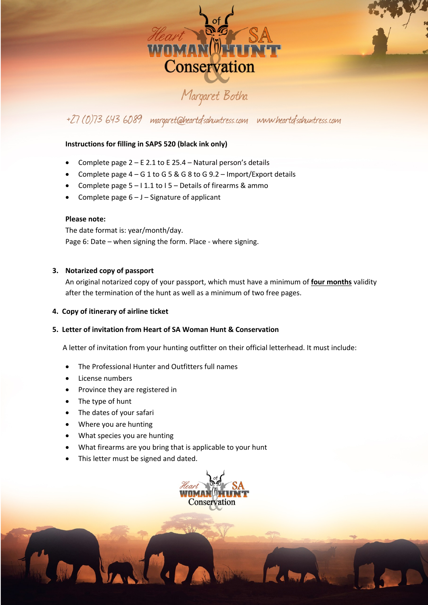

## +27 (0)73 643 6089 margaret@heartofsahuntress.com www.heartofsahuntress.com

#### **Instructions for filling in SAPS 520 (black ink only)**

- Complete page 2 E 2.1 to E 25.4 Natural person's details
- Complete page  $4 G 1$  to  $G 5 & G 8$  to  $G 9.2 -$  Import/Export details
- Complete page  $5 11.1$  to  $15 -$  Details of firearms & ammo
- Complete page  $6 J -$  Signature of applicant

#### **Please note:**

The date format is: year/month/day. Page 6: Date – when signing the form. Place - where signing.

#### **3. Notarized copy of passport**

An original notarized copy of your passport, which must have a minimum of **four months** validity after the termination of the hunt as well as a minimum of two free pages.

#### **4. Copy of itinerary of airline ticket**

#### **5. Letter of invitation from Heart of SA Woman Hunt & Conservation**

A letter of invitation from your hunting outfitter on their official letterhead. It must include:

- The Professional Hunter and Outfitters full names
- License numbers
- Province they are registered in
- The type of hunt
- The dates of your safari
- Where you are hunting
- What species you are hunting
- What firearms are you bring that is applicable to your hunt
- This letter must be signed and dated.

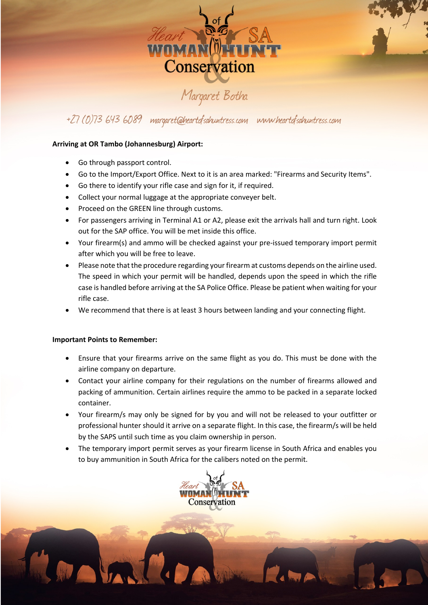

### +27 (0)73 643 6089 margaret@heartofsahuntress.com www.heartofsahuntress.com

#### **Arriving at OR Tambo (Johannesburg) Airport:**

- Go through passport control.
- Go to the Import/Export Office. Next to it is an area marked: "Firearms and Security Items".
- Go there to identify your rifle case and sign for it, if required.
- Collect your normal luggage at the appropriate conveyer belt.
- Proceed on the GREEN line through customs.
- For passengers arriving in Terminal A1 or A2, please exit the arrivals hall and turn right. Look out for the SAP office. You will be met inside this office.
- Your firearm(s) and ammo will be checked against your pre-issued temporary import permit after which you will be free to leave.
- Please note that the procedure regarding your firearm at customs depends on the airline used. The speed in which your permit will be handled, depends upon the speed in which the rifle case is handled before arriving at the SA Police Office. Please be patient when waiting for your rifle case.
- We recommend that there is at least 3 hours between landing and your connecting flight.

#### **Important Points to Remember:**

- Ensure that your firearms arrive on the same flight as you do. This must be done with the airline company on departure.
- Contact your airline company for their regulations on the number of firearms allowed and packing of ammunition. Certain airlines require the ammo to be packed in a separate locked container.
- Your firearm/s may only be signed for by you and will not be released to your outfitter or professional hunter should it arrive on a separate flight. In this case, the firearm/s will be held by the SAPS until such time as you claim ownership in person.
- The temporary import permit serves as your firearm license in South Africa and enables you to buy ammunition in South Africa for the calibers noted on the permit.